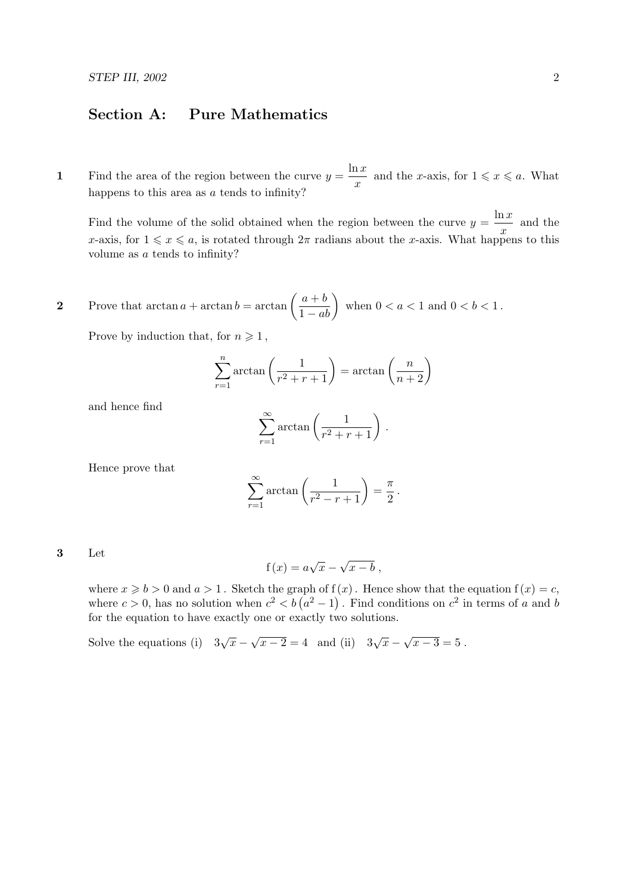## Section A: Pure Mathematics

1 Find the area of the region between the curve  $y = \frac{\ln x}{x}$  $\frac{d^2x}{dx}$  and the *x*-axis, for  $1 \leq x \leq a$ . What happens to this area as a tends to infinity?

Find the volume of the solid obtained when the region between the curve  $y = \frac{\ln x}{x}$  $\frac{d^2x}{dx}$  and the x-axis, for  $1 \leq x \leq a$ , is rotated through  $2\pi$  radians about the x-axis. What happens to this volume as a tends to infinity?

2 Prove that  $\arctan a + \arctan b = \arctan \left( \frac{a+b}{1-ab} \right)$  when  $0 < a < 1$  and  $0 < b < 1$ .

Prove by induction that, for  $n \geq 1$ ,

$$
\sum_{r=1}^{n} \arctan\left(\frac{1}{r^2 + r + 1}\right) = \arctan\left(\frac{n}{n+2}\right)
$$

and hence find

$$
\sum_{r=1}^{\infty} \arctan\left(\frac{1}{r^2+r+1}\right).
$$

Hence prove that

$$
\sum_{r=1}^{\infty} \arctan\left(\frac{1}{r^2 - r + 1}\right) = \frac{\pi}{2}.
$$

3 Let

$$
f(x) = a\sqrt{x} - \sqrt{x - b},
$$

where  $x \geq b > 0$  and  $a > 1$ . Sketch the graph of  $f(x)$ . Hence show that the equation  $f(x) = c$ , where  $c > 0$ , has no solution when  $c^2 < b (a^2 - 1)$ . Find conditions on  $c^2$  in terms of a and b for the equation to have exactly one or exactly two solutions.

Solve the equations (i)  $3\sqrt{x}$  –  $\sqrt{x-2} = 4$  and (ii)  $3\sqrt{x}$  – √  $x-3=5$ .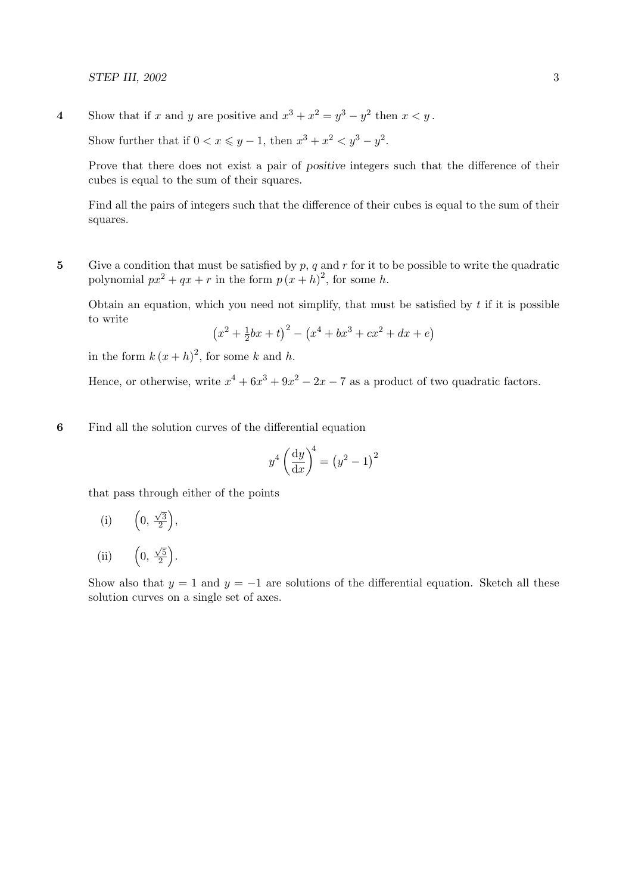4 Show that if x and y are positive and  $x^3 + x^2 = y^3 - y^2$  then  $x < y$ .

Show further that if  $0 < x \leq y - 1$ , then  $x^3 + x^2 < y^3 - y^2$ .

Prove that there does not exist a pair of positive integers such that the difference of their cubes is equal to the sum of their squares.

Find all the pairs of integers such that the difference of their cubes is equal to the sum of their squares.

5 Give a condition that must be satisfied by  $p$ ,  $q$  and  $r$  for it to be possible to write the quadratic polynomial  $px^2 + qx + r$  in the form  $p(x+h)^2$ , for some h.

Obtain an equation, which you need not simplify, that must be satisfied by  $t$  if it is possible to write

$$
(x^{2} + \frac{1}{2}bx + t)^{2} - (x^{4} + bx^{3} + cx^{2} + dx + e)
$$

in the form  $k(x+h)^2$ , for some k and h.

Hence, or otherwise, write  $x^4 + 6x^3 + 9x^2 - 2x - 7$  as a product of two quadratic factors.

6 Find all the solution curves of the differential equation

$$
y^4 \left(\frac{\mathrm{d}y}{\mathrm{d}x}\right)^4 = \left(y^2 - 1\right)^2
$$

that pass through either of the points

(i) 
$$
\left(0, \frac{\sqrt{3}}{2}\right)
$$
,

(ii) 0,  $\sqrt{5}$  $\frac{\sqrt{5}}{2}$ .

Show also that  $y = 1$  and  $y = -1$  are solutions of the differential equation. Sketch all these solution curves on a single set of axes.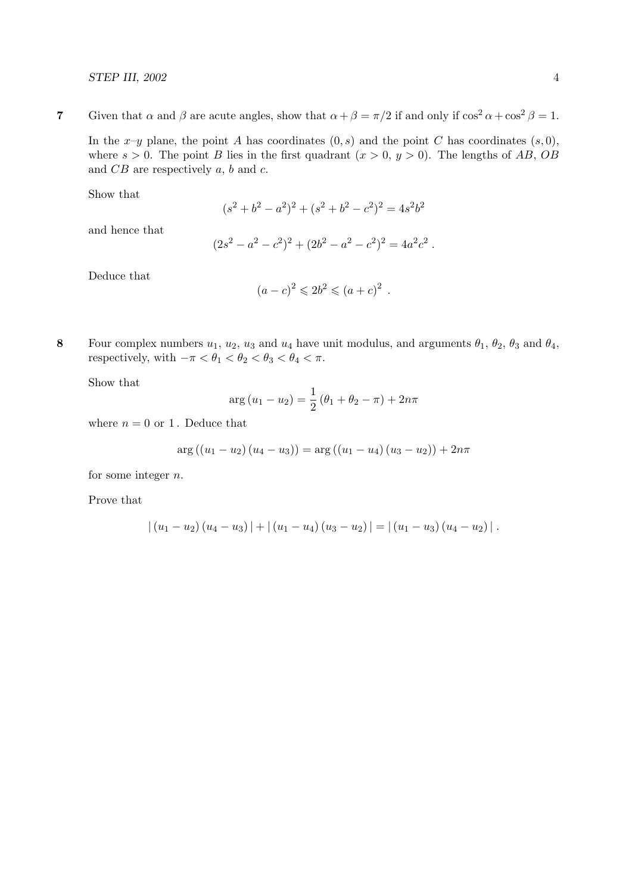7 Given that  $\alpha$  and  $\beta$  are acute angles, show that  $\alpha + \beta = \pi/2$  if and only if  $\cos^2 \alpha + \cos^2 \beta = 1$ . In the x-y plane, the point A has coordinates  $(0, s)$  and the point C has coordinates  $(s, 0)$ ,

where  $s > 0$ . The point B lies in the first quadrant  $(x > 0, y > 0)$ . The lengths of AB, OB and  $CB$  are respectively  $a, b$  and  $c$ .

Show that

$$
(s2 + b2 - a2)2 + (s2 + b2 - c2)2 = 4s2b2
$$

and hence that

$$
(2s2 - a2 - c2)2 + (2b2 - a2 - c2)2 = 4a2c2.
$$

Deduce that

$$
(a-c)^2 \le 2b^2 \le (a+c)^2 \; .
$$

8 Four complex numbers  $u_1, u_2, u_3$  and  $u_4$  have unit modulus, and arguments  $\theta_1, \theta_2, \theta_3$  and  $\theta_4$ , respectively, with  $-\pi < \theta_1 < \theta_2 < \theta_3 < \theta_4 < \pi$ .

Show that

$$
\arg(u_1 - u_2) = \frac{1}{2} (\theta_1 + \theta_2 - \pi) + 2n\pi
$$

where  $n = 0$  or 1. Deduce that

$$
arg ((u_1 - u_2) (u_4 - u_3)) = arg ((u_1 - u_4) (u_3 - u_2)) + 2n\pi
$$

for some integer n.

Prove that

$$
|(u_1-u_2)(u_4-u_3)|+|(u_1-u_4)(u_3-u_2)|=|(u_1-u_3)(u_4-u_2)|.
$$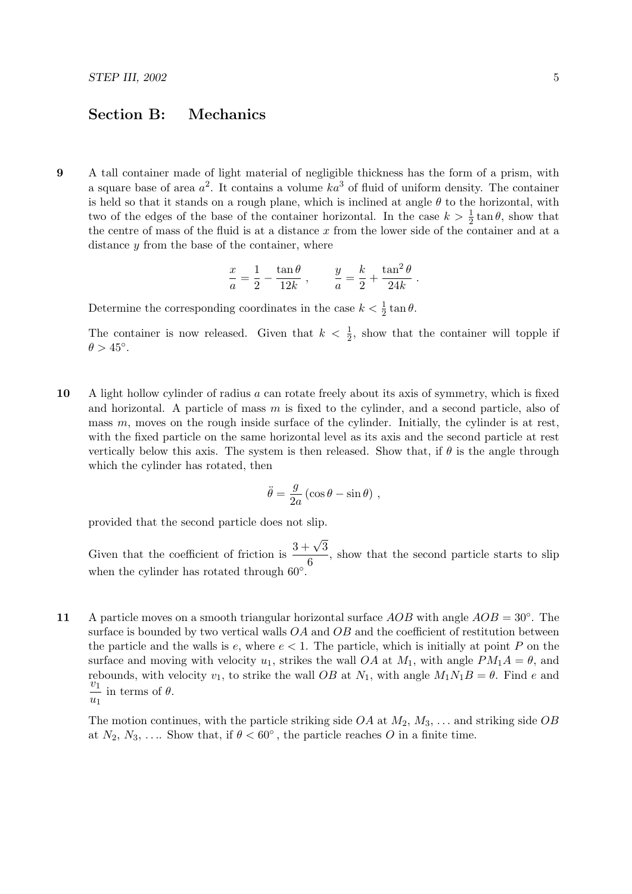## Section B: Mechanics

9 A tall container made of light material of negligible thickness has the form of a prism, with a square base of area  $a^2$ . It contains a volume  $ka^3$  of fluid of uniform density. The container is held so that it stands on a rough plane, which is inclined at angle  $\theta$  to the horizontal, with two of the edges of the base of the container horizontal. In the case  $k > \frac{1}{2} \tan \theta$ , show that the centre of mass of the fluid is at a distance x from the lower side of the container and at a distance  $y$  from the base of the container, where

$$
\frac{x}{a} = \frac{1}{2} - \frac{\tan \theta}{12k} , \qquad \frac{y}{a} = \frac{k}{2} + \frac{\tan^2 \theta}{24k} .
$$

Determine the corresponding coordinates in the case  $k < \frac{1}{2} \tan \theta$ .

The container is now released. Given that  $k < \frac{1}{2}$ , show that the container will topple if  $\theta > 45^\circ$ .

10 A light hollow cylinder of radius a can rotate freely about its axis of symmetry, which is fixed and horizontal. A particle of mass  $m$  is fixed to the cylinder, and a second particle, also of mass  $m$ , moves on the rough inside surface of the cylinder. Initially, the cylinder is at rest, with the fixed particle on the same horizontal level as its axis and the second particle at rest vertically below this axis. The system is then released. Show that, if  $\theta$  is the angle through which the cylinder has rotated, then

$$
\ddot{\theta} = \frac{g}{2a} (\cos \theta - \sin \theta) ,
$$

provided that the second particle does not slip.

Given that the coefficient of friction is  $\frac{3+\sqrt{3}}{6}$  $\frac{6}{6}$ , show that the second particle starts to slip when the cylinder has rotated through  $60^{\circ}$ .

11 A particle moves on a smooth triangular horizontal surface  $AOB$  with angle  $AOB = 30°$ . The surface is bounded by two vertical walls  $OA$  and  $OB$  and the coefficient of restitution between the particle and the walls is  $e$ , where  $e < 1$ . The particle, which is initially at point P on the surface and moving with velocity  $u_1$ , strikes the wall *OA* at  $M_1$ , with angle  $PM_1A = \theta$ , and rebounds, with velocity  $v_1$ , to strike the wall OB at  $N_1$ , with angle  $M_1N_1B = \theta$ . Find e and  $\tilde{v}_1$  $\frac{v_1}{u_1}$  in terms of  $\theta$ .

The motion continues, with the particle striking side  $OA$  at  $M_2, M_3, \ldots$  and striking side  $OB$ at  $N_2, N_3, \ldots$  Show that, if  $\theta < 60^{\circ}$ , the particle reaches O in a finite time.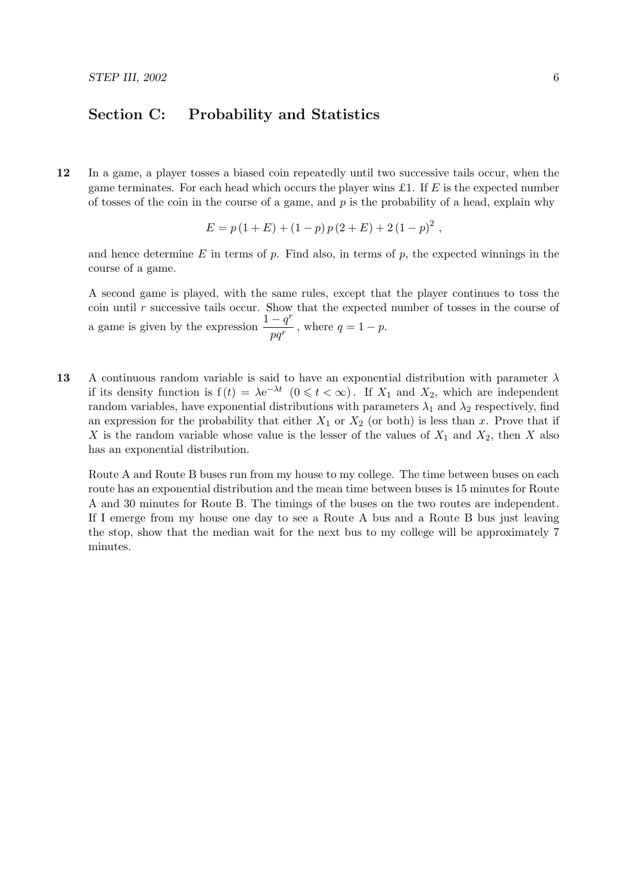## Section C: Probability and Statistics

12 In a game, a player tosses a biased coin repeatedly until two successive tails occur, when the game terminates. For each head which occurs the player wins £1. If  $E$  is the expected number of tosses of the coin in the course of a game, and  $p$  is the probability of a head, explain why

$$
E = p(1 + E) + (1 - p) p(2 + E) + 2 (1 - p)^{2},
$$

and hence determine  $E$  in terms of  $p$ . Find also, in terms of  $p$ , the expected winnings in the course of a game.

A second game is played, with the same rules, except that the player continues to toss the coin until  $r$  successive tails occur. Show that the expected number of tosses in the course of a game is given by the expression  $\frac{1-q^r}{r}$  $\frac{q}{pq^r}$ , where  $q = 1 - p$ .

13 A continuous random variable is said to have an exponential distribution with parameter  $\lambda$ if its density function is  $f(t) = \lambda e^{-\lambda t}$   $(0 \leq t < \infty)$ . If  $X_1$  and  $X_2$ , which are independent random variables, have exponential distributions with parameters  $\lambda_1$  and  $\lambda_2$  respectively, find an expression for the probability that either  $X_1$  or  $X_2$  (or both) is less than x. Prove that if X is the random variable whose value is the lesser of the values of  $X_1$  and  $X_2$ , then X also has an exponential distribution.

Route A and Route B buses run from my house to my college. The time between buses on each route has an exponential distribution and the mean time between buses is 15 minutes for Route A and 30 minutes for Route B. The timings of the buses on the two routes are independent. If I emerge from my house one day to see a Route A bus and a Route B bus just leaving the stop, show that the median wait for the next bus to my college will be approximately 7 minutes.